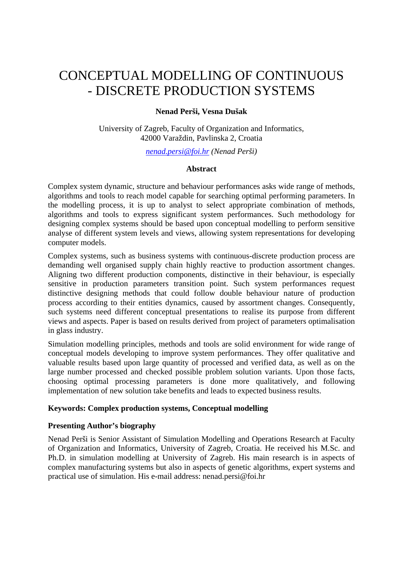# CONCEPTUAL MODELLING OF CONTINUOUS - DISCRETE PRODUCTION SYSTEMS

## **Nenad Perši, Vesna Dušak**

University of Zagreb, Faculty of Organization and Informatics, 42000 Varaždin, Pavlinska 2, Croatia

*[nenad.persi@foi.hr](mailto:nenad.persi@foi.hr) (Nenad Perši)* 

## **Abstract**

Complex system dynamic, structure and behaviour performances asks wide range of methods, algorithms and tools to reach model capable for searching optimal performing parameters. In the modelling process, it is up to analyst to select appropriate combination of methods, algorithms and tools to express significant system performances. Such methodology for designing complex systems should be based upon conceptual modelling to perform sensitive analyse of different system levels and views, allowing system representations for developing computer models.

Complex systems, such as business systems with continuous-discrete production process are demanding well organised supply chain highly reactive to production assortment changes. Aligning two different production components, distinctive in their behaviour, is especially sensitive in production parameters transition point. Such system performances request distinctive designing methods that could follow double behaviour nature of production process according to their entities dynamics, caused by assortment changes. Consequently, such systems need different conceptual presentations to realise its purpose from different views and aspects. Paper is based on results derived from project of parameters optimalisation in glass industry.

Simulation modelling principles, methods and tools are solid environment for wide range of conceptual models developing to improve system performances. They offer qualitative and valuable results based upon large quantity of processed and verified data, as well as on the large number processed and checked possible problem solution variants. Upon those facts, choosing optimal processing parameters is done more qualitatively, and following implementation of new solution take benefits and leads to expected business results.

## **Keywords: Complex production systems, Conceptual modelling**

## **Presenting Author's biography**

Nenad Perši is Senior Assistant of Simulation Modelling and Operations Research at Faculty of Organization and Informatics, University of Zagreb, Croatia. He received his M.Sc. and Ph.D. in simulation modelling at University of Zagreb. His main research is in aspects of complex manufacturing systems but also in aspects of genetic algorithms, expert systems and practical use of simulation. His e-mail address: nenad.persi@foi.hr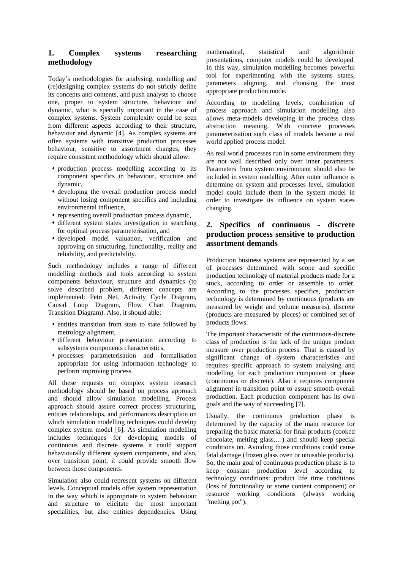## **1. Complex systems researching methodology**

Today's methodologies for analysing, modelling and (re)designing complex systems do not strictly define its concepts and contents, and push analysts to choose one, proper to system structure, behaviour and dynamic, what is specially important in the case of complex systems. System complexity could be seen from different aspects according to their structure, behaviour and dynamic [4]. As complex systems are often systems with transitive production processes behaviour, sensitive to assortment changes, they require consistent methodology which should allow:

- production process modelling according to its component specifics in behaviour, structure and dynamic,
- developing the overall production process model without losing component specifics and including environmental influence,
- representing overall production process dynamic,
- different system states investigation in searching for optimal process parameterisation, and
- developed model valuation, verification and approving on structuring, functionality, reality and reliability, and predictability.

Such methodology includes a range of different modelling methods and tools according to system components behaviour, structure and dynamics (to solve described problem, different concepts are implemented: Petri Net, Activity Cycle Diagram, Causal Loop Diagram, Flow Chart Diagram, Transition Diagram). Also, it should able:

- entities transition from state to state followed by metrology alignment,
- different behaviour presentation according to subsystems components characteristics,
- processes parameterisation and formalisation appropriate for using information technology to perform improving process.

All these requests on complex system research methodology should be based on process approach and should allow simulation modelling. Process approach should assure correct process structuring, entities relationships, and performances description on which simulation modelling techniques could develop complex system model [6]. As simulation modelling includes techniques for developing models of continuous and discrete systems it could support behaviourally different system components, and also, over transition point, it could provide smooth flow between those components.

Simulation also could represent systems on different levels. Conceptual models offer system representation in the way which is appropriate to system behaviour and structure to elicitate the most important specialities, but also entities dependencies. Using

mathematical, statistical and algorithmic presentations, computer models could be developed. In this way, simulation modelling becomes powerful tool for experimenting with the systems states, parameters aligning, and choosing the most appropriate production mode.

According to modelling levels, combination of process approach and simulation modelling also allows meta-models developing in the process class abstraction meaning. With concrete processes parameterisation such class of models became a real world applied process model.

As real world processes run in some environment they are not well described only over inner parameters. Parameters from system environment should also be included in system modelling. After outer influence is determine on system and processes level, simulation model could include them in the system model in order to investigate its influence on system states changing.

## **2. Specifics of continuous - discrete production process sensitive to production assortment demands**

Production business systems are represented by a set of processes determined with scope and specific production technology of material products made for a stock, according to order or assemble to order. According to the processes specifics, production technology is determined by continuous (products are measured by weight and volume measures), discrete (products are measured by pieces) or combined set of products flows.

The important characteristic of the continuous-discrete class of production is the lack of the unique product measure over production process. That is caused by significant change of system characteristics and requires specific approach to system analysing and modelling for each production component or phase (continuous or discrete). Also it requires component alignment in transition point to assure smooth overall production. Each production component has its own goals and the way of succeeding [7].

Usually, the continuous production phase is determined by the capacity of the main resource for preparing the basic material for final products (cooked chocolate, melting glass,…) and should keep special conditions on. Avoiding those conditions could cause fatal damage (frozen glass oven or unusable products). So, the main goal of continuous production phase is to keep constant production level according to technology conditions: product life time conditions (loss of functionality or some content component) or resource working conditions (always working "melting pot").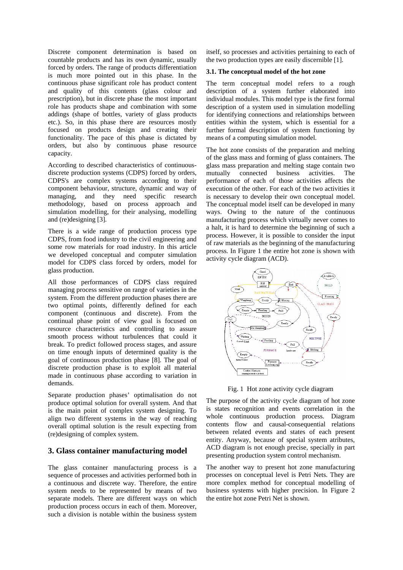Discrete component determination is based on countable products and has its own dynamic, usually forced by orders. The range of products differentiation is much more pointed out in this phase. In the continuous phase significant role has product content and quality of this contents (glass colour and prescription), but in discrete phase the most important role has products shape and combination with some addings (shape of bottles, variety of glass products etc.). So, in this phase there are resources mostly focused on products design and creating their functionality. The pace of this phase is dictated by orders, but also by continuous phase resource capacity.

According to described characteristics of continuousdiscrete production systems (CDPS) forced by orders, CDPS's are complex systems according to their component behaviour, structure, dynamic and way of managing, and they need specific research methodology, based on process approach and simulation modelling, for their analysing, modelling and (re)designing [3].

There is a wide range of production process type CDPS, from food industry to the civil engineering and some row materials for road industry. In this article we developed conceptual and computer simulation model for CDPS class forced by orders, model for glass production.

All those performances of CDPS class required managing process sensitive on range of varieties in the system. From the different production phases there are two optimal points, differently defined for each component (continuous and discrete). From the continual phase point of view goal is focused on resource characteristics and controlling to assure smooth process without turbulences that could it break. To predict followed process stages, and assure on time enough inputs of determined quality is the goal of continuous production phase [8]. The goal of discrete production phase is to exploit all material made in continuous phase according to variation in demands.

Separate production phases' optimalisation do not produce optimal solution for overall system. And that is the main point of complex system designing. To align two different systems in the way of reaching overall optimal solution is the result expecting from (re)designing of complex system.

#### **3. Glass container manufacturing model**

The glass container manufacturing process is a sequence of processes and activities performed both in a continuous and discrete way. Therefore, the entire system needs to be represented by means of two separate models. There are different ways on which production process occurs in each of them. Moreover, such a division is notable within the business system itself, so processes and activities pertaining to each of the two production types are easily discernible [1].

#### **3.1. The conceptual model of the hot zone**

The term conceptual model refers to a rough description of a system further elaborated into individual modules. This model type is the first formal description of a system used in simulation modelling for identifying connections and relationships between entities within the system, which is essential for a further formal description of system functioning by means of a computing simulation model.

The hot zone consists of the preparation and melting of the glass mass and forming of glass containers. The glass mass preparation and melting stage contain two mutually connected business activities. The performance of each of those activities affects the execution of the other. For each of the two activities it is necessary to develop their own conceptual model. The conceptual model itself can be developed in many ways. Owing to the nature of the continuous manufacturing process which virtually never comes to a halt, it is hard to determine the beginning of such a process. However, it is possible to consider the input of raw materials as the beginning of the manufacturing process. In Figure 1 the entire hot zone is shown with activity cycle diagram (ACD).



Fig. 1 Hot zone activity cycle diagram

The purpose of the activity cycle diagram of hot zone is states recognition and events correlation in the whole continuous production process. Diagram contents flow and causal-consequential relations between related events and states of each present entity. Anyway, because of special system atributes, ACD diagram is not enough precise, specially in part presenting production system control mechanism.

The another way to present hot zone manufacturing processes on conceptual level is Petri Nets. They are more complex method for conceptual modelling of business systems with higher precision. In Figure 2 the entire hot zone Petri Net is shown.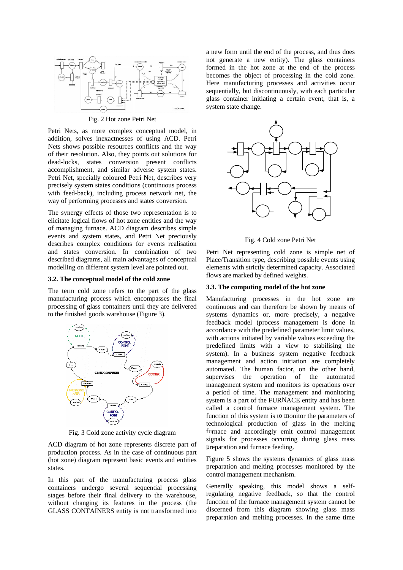

Fig. 2 Hot zone Petri Net

Petri Nets, as more complex conceptual model, in addition, solves inexactnesses of using ACD. Petri Nets shows possible resources conflicts and the way of their resolution. Also, they points out solutions for dead-locks, states conversion present conflicts accomplishment, and similar adverse system states. Petri Net, specially coloured Petri Net, describes very precisely system states conditions (continuous process with feed-back), including process network net, the way of performing processes and states conversion.

The synergy effects of those two representation is to elicitate logical flows of hot zone entities and the way of managing furnace. ACD diagram describes simple events and system states, and Petri Net preciously describes complex conditions for events realisation and states conversion. In combination of two described diagrams, all main advantages of conceptual modelling on different system level are pointed out.

#### **3.2. The conceptual model of the cold zone**

The term cold zone refers to the part of the glass manufacturing process which encompasses the final processing of glass containers until they are delivered to the finished goods warehouse (Figure 3).



Fig. 3 Cold zone activity cycle diagram

ACD diagram of hot zone represents discrete part of production process. As in the case of continuous part (hot zone) diagram represent basic events and entities states.

In this part of the manufacturing process glass containers undergo several sequential processing stages before their final delivery to the warehouse, without changing its features in the process (the GLASS CONTAINERS entity is not transformed into

a new form until the end of the process, and thus does not generate a new entity). The glass containers formed in the hot zone at the end of the process becomes the object of processing in the cold zone. Here manufacturing processes and activities occur sequentially, but discontinuously, with each particular glass container initiating a certain event, that is, a system state change.



Fig. 4 Cold zone Petri Net

Petri Net representing cold zone is simple net of Place/Transition type, describing possible events using elements with strictly determined capacity. Associated flows are marked by defined weights.

#### **3.3. The computing model of the hot zone**

Manufacturing processes in the hot zone are continuous and can therefore be shown by means of systems dynamics or, more precisely, a negative feedback model (process management is done in accordance with the predefined parameter limit values, with actions initiated by variable values exceeding the predefined limits with a view to stabilising the system). In a business system negative feedback management and action initiation are completely automated. The human factor, on the other hand, supervises the operation of the automated management system and monitors its operations over a period of time. The management and monitoring system is a part of the FURNACE entity and has been called a control furnace management system. The function of this system is to monitor the parameters of technological production of glass in the melting furnace and accordingly emit control management signals for processes occurring during glass mass preparation and furnace feeding.

Figure 5 shows the systems dynamics of glass mass preparation and melting processes monitored by the control manag ement mechanism.

discerned from this diagram showing glass mass preparation and melting processes. In the same time Generally speaking, this model shows a selfregulating negative feedback, so that the control function of the furnace management system cannot be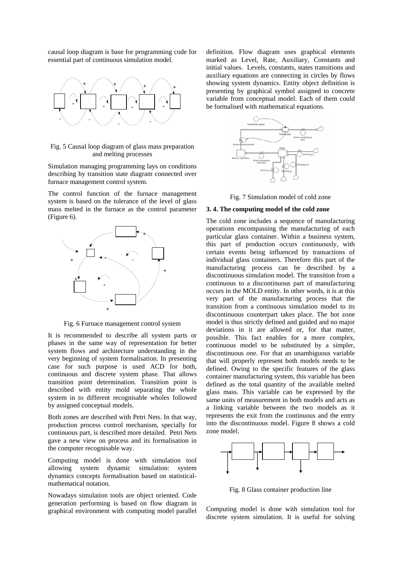causal loop diagram is base for programming code for essential part of continuous simulation model.



Fig. 5 Causal loop diagram of glass mass preparation and melting processes

Simulation managing programming lays on conditions describing by transition state diagram connected over furnace management control system.

The control function of the furnace management system is based on the tolerance of the level of glass mass melted in the furnace as the control parameter (Figure 6).



Fig. 6 Furnace management control system

It is recommended to describe all system parts or phases in the same way of representation for better system flows and architecture understanding in the very beginning of system formalisation. In presenting case for such purpose is used ACD for both, ontinuous and discrete system phase. That allows c d escribed with entity mold separating the whole system in to different recognisable wholes followed transition point determination. Transition point is by assigned conceptual models.

production process control mechanism, specially for Both zones are described with Petri Nets. In that way, continuous part, is described more detailed. Petri Nets gave a new view on process and its formalisation in the computer recognisable way.

Computing model is done with simulation tool allowing system dynamic simulation: system dynamics concepts formalisation based on statisticalmathematical notation.

Nowadays simulation tools are object oriented. Code generation performing is based on flow diagram in graphical environment with computing model parallel

definition. Flow diagram uses graphical elements marked as Level, Rate, Auxiliary, Constants and initial values. Levels, constants, states transitions and auxiliary equations are connecting in circles by flows showing system dynamics. Entity object definition is presenting by graphical symbol assigned to concrete variable from conceptual model. Each of them could be formalised with mathematical equations.



Fig. 7 Simulation model of cold zone

#### **3. 4. The computing model of the cold zone**

certain events being influenced by transactions of possible. This fact enables for a more complex, continuous model to be substituted by a simpler, discontinuous one. For that an unambiguous variable that will properly represent both models needs to be defined. Owing to the specific features of the glass container manufacturing system, this variable has been defined as the total quantity of the available melted glass mass. This variable can be expressed by the same units of measurement in both models and acts as a linking variable between the two models as it represents the exit from the continuous and the entry into the discontinuous model. Figure 8 shows a cold zone mo del. The cold zone includes a sequence of manufacturing operations encompassing the manufacturing of each particular glass container. Within a business system, this part of production occurs continuously, with individual glass containers. Therefore this part of the manufacturing process can be described by a discontinuous simulation model. The transition from a continuous to a discontinuous part of manufacturing occurs in the MOLD entity. In other words, it is at this very part of the manufacturing process that the transition from a continuous simulation model to its discontinuous counterpart takes place. The hot zone model is thus strictly defined and guided and no major deviations in it are allowed or, for that matter,



Fig. 8 Glass container production line

Computing model is done with simulation tool for discrete system simulation. It is useful for solving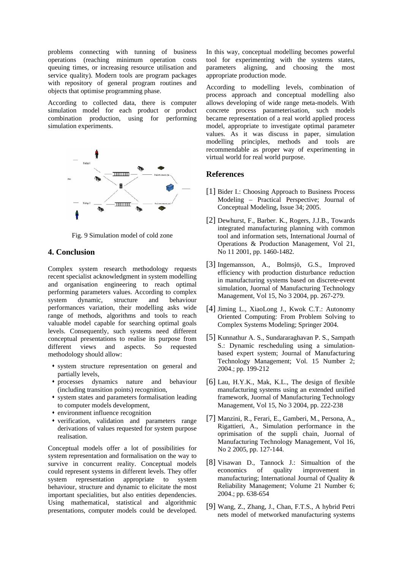problems connecting with tunning of business operations (reaching minimum operation costs queuing times, or increasing resource utilisation and service quality). Modern tools are program packages with repository of general program routines and objects that optimise programming phase.

According to collected data, there is computer simulation model for each product or product combination production, using for performing simulation experiments.



Fig. 9 Simulation model of cold zone

### **4. Con clusion**

valuable model capable for searching optimal goals Complex system research methodology requests recent specialist acknowledgment in system modelling and organisation engineering to reach optimal performing parameters values. According to complex system dynamic, structure and behaviour performances variation, their modelling asks wide range of methods, algorithms and tools to reach levels. Consequently, such systems need different conceptual presentations to realise its purpose from different views and aspects. So requested methodology should allow:

- system structure representation on general and partially levels,
- $*$  processes dynamics nature and behaviour (in cluding transition points) recognition,
- system states and parameters formalisation leading to computer models development,
- environment influence recognition
- verification, validation and parameters range deri vations of values requested for system purpose realisation.

Conceptual models offer a lot of possibilities for system representation and formalisation on the way to survive in concurrent reality. Conceptual models could represent systems in different levels. They offer system representation appropriate to system behaviour, structure and dynamic to elicitate the most important specialities, but also entities dependencies. Using mathematical, statistical and algorithmic presentations, computer models could be developed. In this way, conceptual modelling becomes powerful tool for experimenting with the systems states, parameters aligning, and choosing the most appropriate production mode.

model, appropriate to investigate optimal parameter v alues. As it was discuss in paper, simulation modelling principles, methods and tools are r ecommendable as proper way of experimenting in vir tual world for real world purpose. According to modelling levels, combination of process approach and conceptual modelling also allows developing of wide range meta-models. With concrete process parameterisation, such models became representation of a real world applied process

### **Re ferences**

- [ 1] Bider I.: Choosing Approach to Business Process Conceptual Modeling, Issue 34; 2005. Modeling – Practical Perspective; Journal of
- [2] Dewhurst, F., Barber. K., Rogers, J.J.B., Towards integrated manufacturing planning with common tool and information sets, International Journal of Operations & Production Management, Vol 21, No 11 2001, pp. 1460-1482.
- [3] Ingemansson, A., Bolmsjö, G.S., Improved efficiency with production disturbance reduction in manufacturing systems based on discrete-event simulation, Juornal of Manufacturing Technology Management, Vol 15, No 3 2004, pp. 267-279.
- [4] Jiming L., XiaoLong J., Kwok C.T.: Autonomy Oriented Computing: From Problem Solving to Complex Systems Modeling; Springer 2004.
- [5] Kunnathur A. S., Sundararaghavan P. S., Sampath S.: Dynamic rescheduling using a simulationbased expert system; Journal of Manufacturing Technology Management; Vol. 15 Number 2; 2004.; pp. 199-212
- manufacturing systems using an extended unified framework, Juornal of Manufacturing Technology Management, Vol 15, No 3 2004, pp. 222-238 [6] Lau, H.Y.K., Mak, K.L., The design of flexible
- [7] Manzini, R., Ferari, E., Gamberi, M., Persona, A., Manufacturing Technology Management, Vol 16, Rigattieri, A., Simulation performance in the oprimisation of the supplì chain, Juornal of No 2 2005, pp. 127-144.
- [8] Visawan D., Tannock J.: Simualtion of the Reliability Management; Volume 21 Number 6; economics of quality improvement in manufacturing; International Journal of Quality & 2004.; pp. 638-654
- [9] Wang, Z., Zhang, J., Chan, F.T.S., A hybrid Petri nets model of metworked manufacturing systems